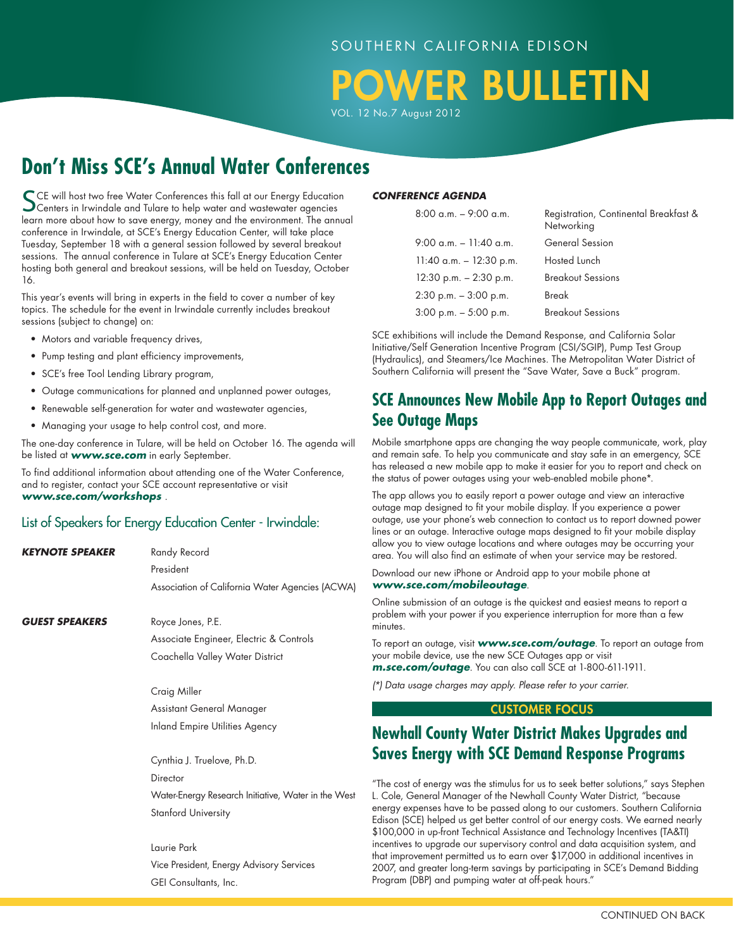# **OWER BULLETIN**

VOL. 12 No.7 August 2012

# **Don't Miss SCE's Annual Water Conferences**

SCE will host two free Water Conferences this fall at our Energy Education<br>Centers in Irwindale and Tulare to help water and wastewater agencies learn more about how to save energy, money and the environment. The annual conference in Irwindale, at SCE's Energy Education Center, will take place Tuesday, September 18 with a general session followed by several breakout sessions. The annual conference in Tulare at SCE's Energy Education Center hosting both general and breakout sessions, will be held on Tuesday, October 16.

This year's events will bring in experts in the field to cover a number of key topics. The schedule for the event in Irwindale currently includes breakout sessions (subject to change) on:

- Motors and variable frequency drives,
- Pump testing and plant efficiency improvements,
- SCE's free Tool Lending Library program,
- Outage communications for planned and unplanned power outages,
- Renewable self-generation for water and wastewater agencies,
- Managing your usage to help control cost, and more.

The one-day conference in Tulare, will be held on October 16. The agenda will be listed at *www.sce.com* in early September.

To find additional information about attending one of the Water Conference, and to register, contact your SCE account representative or visit *www.sce.com/workshops* .

## List of Speakers for Energy Education Center - Irwindale:

| <b>KEYNOTE SPEAKER</b> | Randy Record                                        |  |
|------------------------|-----------------------------------------------------|--|
|                        | President                                           |  |
|                        | Association of California Water Agencies (ACWA)     |  |
| <b>GUEST SPEAKERS</b>  | Royce Jones, P.E.                                   |  |
|                        | Associate Engineer, Electric & Controls             |  |
|                        | Coachella Valley Water District                     |  |
|                        | Craig Miller                                        |  |
|                        | Assistant General Manager                           |  |
|                        | Inland Empire Utilities Agency                      |  |
|                        | Cynthia J. Truelove, Ph.D.                          |  |
|                        | Director                                            |  |
|                        | Water-Energy Research Initiative, Water in the West |  |
|                        | <b>Stanford University</b>                          |  |
|                        | Laurie Park                                         |  |
|                        | Vice President, Energy Advisory Services            |  |
|                        | GEI Consultants, Inc.                               |  |
|                        |                                                     |  |
|                        |                                                     |  |

#### *CONFERENCE AGENDA*

| $8:00$ a.m. $-$ 9:00 a.m.  | Registration, Continental Breakfast &<br>Networking |
|----------------------------|-----------------------------------------------------|
| $9:00$ a.m. $-11:40$ a.m.  | <b>General Session</b>                              |
| $11:40$ a.m. $-12:30$ p.m. | Hosted Lunch                                        |
| $12:30$ p.m. $-2:30$ p.m.  | <b>Breakout Sessions</b>                            |
| $2:30$ p.m. $-3:00$ p.m.   | Break                                               |
| $3:00$ p.m. $-5:00$ p.m.   | <b>Breakout Sessions</b>                            |

SCE exhibitions will include the Demand Response, and California Solar Initiative/Self Generation Incentive Program (CSI/SGIP), Pump Test Group (Hydraulics), and Steamers/Ice Machines. The Metropolitan Water District of Southern California will present the "Save Water, Save a Buck" program.

## **SCE Announces New Mobile App to Report Outages and See Outage Maps**

Mobile smartphone apps are changing the way people communicate, work, play and remain safe. To help you communicate and stay safe in an emergency, SCE has released a new mobile app to make it easier for you to report and check on the status of power outages using your web-enabled mobile phone\*.

The app allows you to easily report a power outage and view an interactive outage map designed to fit your mobile display. If you experience a power outage, use your phone's web connection to contact us to report downed power lines or an outage. Interactive outage maps designed to fit your mobile display allow you to view outage locations and where outages may be occurring your area. You will also find an estimate of when your service may be restored.

Download our new iPhone or Android app to your mobile phone at *www.sce.com/mobileoutage*.

Online submission of an outage is the quickest and easiest means to report a problem with your power if you experience interruption for more than a few minutes.

To report an outage, visit *www.sce.com/outage*. To report an outage from your mobile device, use the new SCE Outages app or visit *m.sce.com/outage*. You can also call SCE at 1-800-611-1911.

*(\*) Data usage charges may apply. Please refer to your carrier.*

#### CUSTOMER Focus

## **Newhall County Water District Makes Upgrades and Saves Energy with SCE Demand Response Programs**

"The cost of energy was the stimulus for us to seek better solutions," says Stephen L. Cole, General Manager of the Newhall County Water District, "because energy expenses have to be passed along to our customers. Southern California Edison (SCE) helped us get better control of our energy costs. We earned nearly \$100,000 in up-front Technical Assistance and Technology Incentives (TA&TI) incentives to upgrade our supervisory control and data acquisition system, and that improvement permitted us to earn over \$17,000 in additional incentives in 2007, and greater long-term savings by participating in SCE's Demand Bidding Program (DBP) and pumping water at off-peak hours."